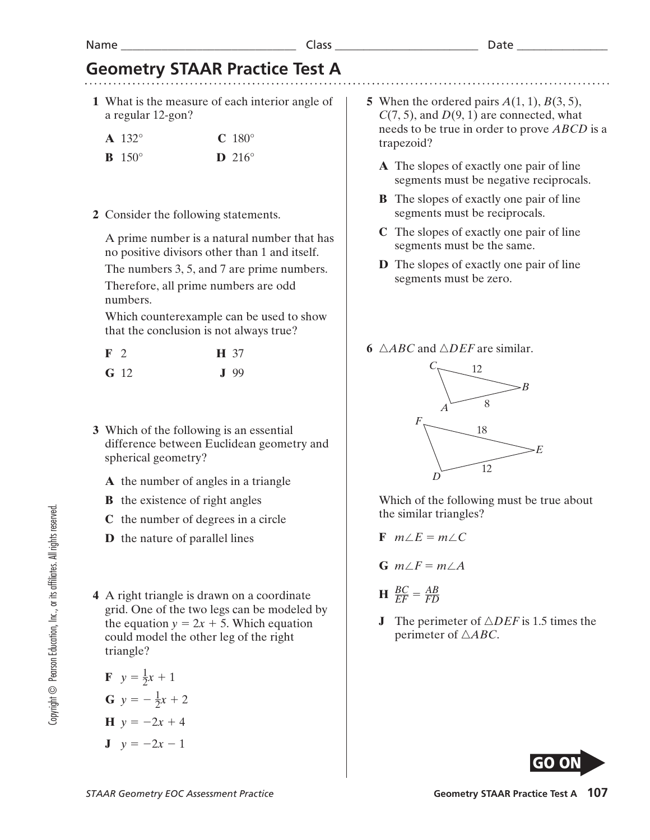#### Name \_\_\_\_\_\_\_\_\_\_\_\_\_\_\_\_\_\_\_\_\_\_\_\_\_\_\_\_\_\_ Class \_\_\_\_\_\_\_\_\_\_\_\_\_\_\_\_\_\_\_\_\_\_\_\_\_ Date \_\_\_\_\_\_\_\_\_\_\_\_\_\_\_\_

# **Geometry STAAR Practice Test A**

- **1** What is the measure of each interior angle of a regular 12-gon?
	- **A** 132° **C** 180°
	- **B** 150° **D** 216°
- **2** Consider the following statements.

 A prime number is a natural number that has no positive divisors other than 1 and itself.

 The numbers 3, 5, and 7 are prime numbers. Therefore, all prime numbers are odd

numbers.

 Which counterexample can be used to show that the conclusion is not always true?

| $\mathbf{F}$ 2 |             | <b>H</b> 37 |
|----------------|-------------|-------------|
|                | <b>G</b> 12 | $J$ 99      |

- **3** Which of the following is an essential difference between Euclidean geometry and spherical geometry?
	- **A** the number of angles in a triangle
	- **B** the existence of right angles
	- **C** the number of degrees in a circle
	- **D** the nature of parallel lines
- **4** A right triangle is drawn on a coordinate grid. One of the two legs can be modeled by the equation  $y = 2x + 5$ . Which equation could model the other leg of the right triangle?

**F** 
$$
y = \frac{1}{2}x + 1
$$
  
\n**G**  $y = -\frac{1}{2}x + 2$   
\n**H**  $y = -2x + 4$ 

$$
y = -2x - 1
$$

- **5** When the ordered pairs *A*(1, 1), *B*(3, 5),  $C(7, 5)$ , and  $D(9, 1)$  are connected, what needs to be true in order to prove *ABCD* is a trapezoid?
	- **A** The slopes of exactly one pair of line segments must be negative reciprocals.
	- **B** The slopes of exactly one pair of line segments must be reciprocals.
	- **C** The slopes of exactly one pair of line segments must be the same.
	- **D** The slopes of exactly one pair of line segments must be zero.
- **6**  $\triangle ABC$  and  $\triangle DEF$  are similar.



Which of the following must be true about the similar triangles?

- $\mathbf{F}$   $m \angle E = m \angle C$
- $G$  *m* $\angle F = m \angle A$
- $H \frac{BC}{EF} = \frac{AB}{FD}$
- **J** The perimeter of  $\triangle DEF$  is 1.5 times the perimeter of  $\triangle ABC$ .

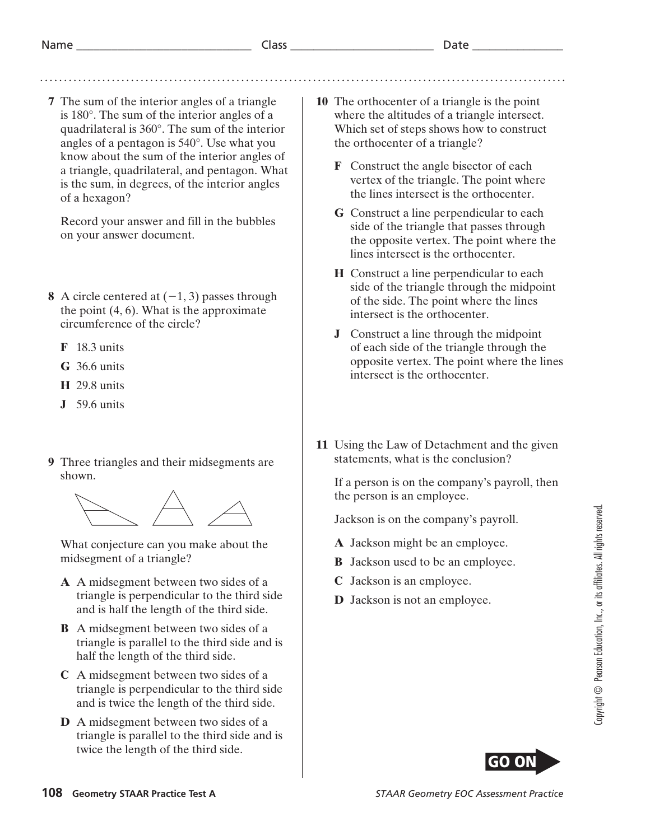**7** The sum of the interior angles of a triangle is 180°. The sum of the interior angles of a quadrilateral is 360°. The sum of the interior angles of a pentagon is 540°. Use what you know about the sum of the interior angles of a triangle, quadrilateral, and pentagon. What is the sum, in degrees, of the interior angles of a hexagon?

 Record your answer and fill in the bubbles on your answer document.

- **8** A circle centered at  $(-1, 3)$  passes through the point  $(4, 6)$ . What is the approximate circumference of the circle?
	- **F** 18.3 units
	- **G** 36.6 units
	- **H** 29.8 units
	- **J** 59.6 units
- **9** Three triangles and their midsegments are shown.



 What conjecture can you make about the midsegment of a triangle?

- **A** A midsegment between two sides of a triangle is perpendicular to the third side and is half the length of the third side.
- **B** A midsegment between two sides of a triangle is parallel to the third side and is half the length of the third side.
- **C** A midsegment between two sides of a triangle is perpendicular to the third side and is twice the length of the third side.
- **D** A midsegment between two sides of a triangle is parallel to the third side and is twice the length of the third side.
- **10** The orthocenter of a triangle is the point where the altitudes of a triangle intersect. Which set of steps shows how to construct the orthocenter of a triangle?
	- **F** Construct the angle bisector of each vertex of the triangle. The point where the lines intersect is the orthocenter.
	- **G** Construct a line perpendicular to each side of the triangle that passes through the opposite vertex. The point where the lines intersect is the orthocenter.
	- **H** Construct a line perpendicular to each side of the triangle through the midpoint of the side. The point where the lines intersect is the orthocenter.
	- **J** Construct a line through the midpoint of each side of the triangle through the opposite vertex. The point where the lines intersect is the orthocenter.
- **11** Using the Law of Detachment and the given statements, what is the conclusion?

 If a person is on the company's payroll, then the person is an employee.

Jackson is on the company's payroll.

- **A** Jackson might be an employee.
- **B** Jackson used to be an employee.
- **C** Jackson is an employee.
- **D** Jackson is not an employee.

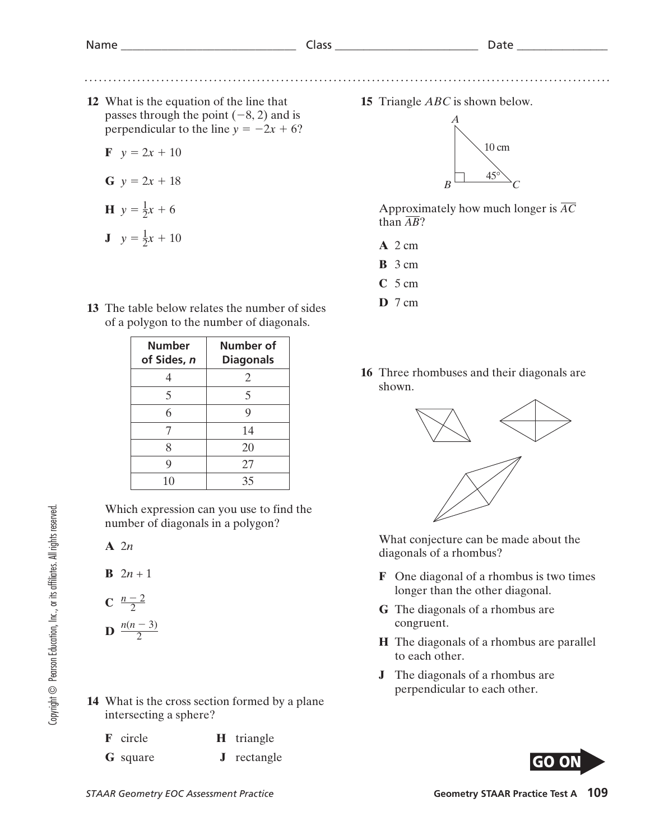. . . . . . . . . . . . . .

**12** What is the equation of the line that passes through the point  $(-8, 2)$  and is perpendicular to the line  $y = -2x + 6$ ?

 $\mathbf{F} \quad v = 2x + 10$ 

$$
G \, y = 2x + 18
$$

$$
H y = \frac{1}{2}x + 6
$$

$$
J \quad y = \frac{1}{2}x + 10
$$

**13** The table below relates the number of sides of a polygon to the number of diagonals.

| Number<br>of Sides, n | Number of<br><b>Diagonals</b> |
|-----------------------|-------------------------------|
|                       | 2                             |
| 5                     | 5                             |
| 6                     | 9                             |
|                       | 14                            |
| 8                     | 20                            |
|                       | 27                            |
| 10                    | 35                            |

Which expression can you use to find the number of diagonals in a polygon?

**A** 2*n*

- **B**  $2n + 1$
- **C**  $\frac{n-2}{2}$
- **D**  $\frac{n(n-3)}{2}$

**14** What is the cross section formed by a plane intersecting a sphere?

| <b>F</b> circle | <b>H</b> triangle  |
|-----------------|--------------------|
| <b>G</b> square | <b>J</b> rectangle |

**15** Triangle *ABC* is shown below.



Approximately how much longer is *AC* than  $\overline{AB}$ ?

- **A** 2 cm
- **B** 3 cm
- **C** 5 cm
- **D** 7 cm
- **16** Three rhombuses and their diagonals are shown.



 What conjecture can be made about the diagonals of a rhombus?

- **F** One diagonal of a rhombus is two times longer than the other diagonal.
- **G** The diagonals of a rhombus are congruent.
- **H** The diagonals of a rhombus are parallel to each other.
- **J** The diagonals of a rhombus are perpendicular to each other.

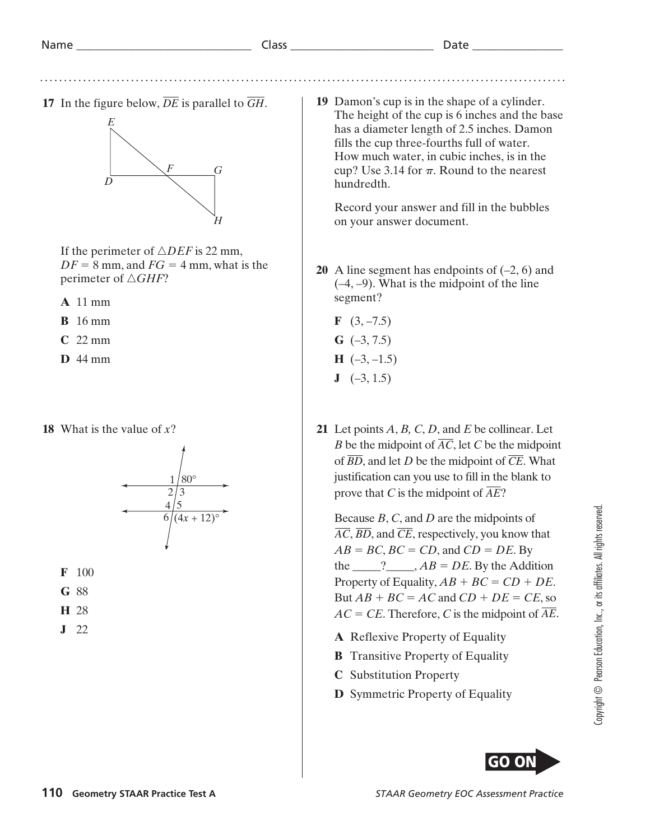

If the perimeter of  $\triangle DEF$  is 22 mm,  $DF = 8$  mm, and  $FG = 4$  mm, what is the perimeter of  $\triangle GHF$ ?

**A** 11 mm

- **B** 16 mm
- **C** 22 mm
- **D** 44 mm

### **18** What is the value of *x*?





- **G** 88
- **H** 28
- **J** 22

**19** Damon's cup is in the shape of a cylinder. The height of the cup is 6 inches and the base has a diameter length of 2.5 inches. Damon fills the cup three-fourths full of water. How much water, in cubic inches, is in the cup? Use  $3.14$  for  $\pi$ . Round to the nearest hundredth.

 Record your answer and fill in the bubbles on your answer document.

- **20** A line segment has endpoints of (–2, 6) and (–4, –9). What is the midpoint of the line segment?
	- **F**  $(3, -7.5)$
	- **G** (–3, 7.5)
	- $H$  (-3, -1.5)
	- $J \quad (-3, 1.5)$
- **21** Let points *A*, *B, C*, *D*, and *E* be collinear. Let *B* be the midpoint of  $\overline{AC}$ , let *C* be the midpoint of *BD*, and let *D* be the midpoint of *CE*. What justification can you use to fill in the blank to prove that *C* is the midpoint of  $\overline{AE}$ ?

 Because *B*, *C*, and *D* are the midpoints of *AC*, *BD*, and *CE*, respectively, you know that  $AB = BC$ ,  $BC = CD$ , and  $CD = DE$ . By the  $\qquad$  ?  $\qquad$ ,  $AB = DE$ . By the Addition Property of Equality,  $AB + BC = CD + DE$ . But  $AB + BC = AC$  and  $CD + DE = CE$ , so  $AC = CE$ . Therefore, *C* is the midpoint of  $\overline{AE}$ .

- **A** Reflexive Property of Equality
- **B** Transitive Property of Equality
- **C** Substitution Property
- **D** Symmetric Property of Equality

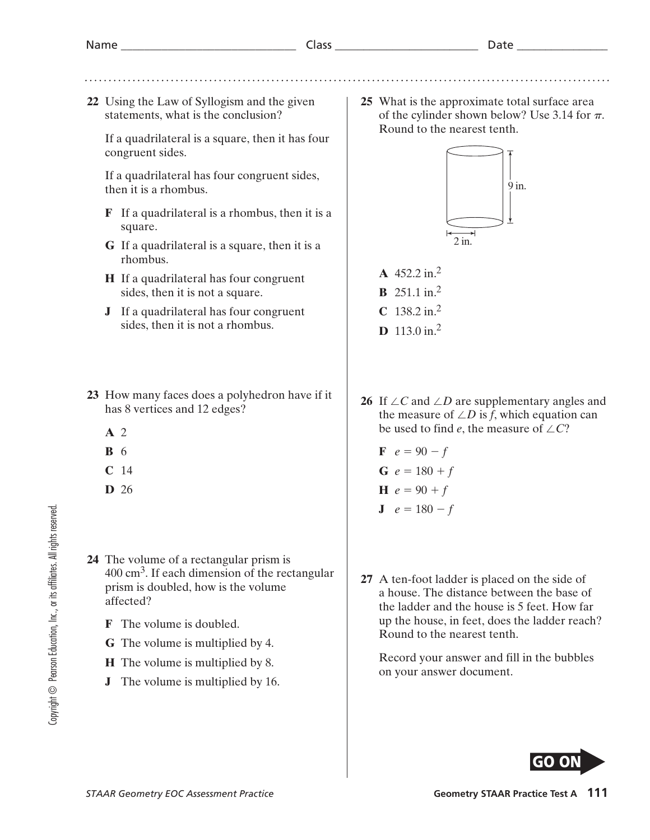**22** Using the Law of Syllogism and the given statements, what is the conclusion?

 If a quadrilateral is a square, then it has four congruent sides.

 If a quadrilateral has four congruent sides, then it is a rhombus.

- **F** If a quadrilateral is a rhombus, then it is a square.
- **G** If a quadrilateral is a square, then it is a rhombus.
- **H** If a quadrilateral has four congruent sides, then it is not a square.
- **J** If a quadrilateral has four congruent sides, then it is not a rhombus.
- **23** How many faces does a polyhedron have if it has 8 vertices and 12 edges?
	- **A** 2
	- **B** 6
	- **C** 14
	- **D** 26
- **24** The volume of a rectangular prism is 400 cm3. If each dimension of the rectangular prism is doubled, how is the volume affected?
	- **F** The volume is doubled.
	- **G** The volume is multiplied by 4.
	- **H** The volume is multiplied by 8.
	- **J** The volume is multiplied by 16.

**25** What is the approximate total surface area of the cylinder shown below? Use 3.14 for  $\pi$ . Round to the nearest tenth.



- **A** 452.2 in.2
- **B** 251.1 in.2 **C** 138.2 in.2
- **D** 113.0 in.2
- **26** If  $\angle C$  and  $\angle D$  are supplementary angles and the measure of  $\angle D$  is *f*, which equation can be used to find *e*, the measure of  $\angle C$ ?

**F** 
$$
e = 90 - f
$$
  
\n**G**  $e = 180 + f$   
\n**H**  $e = 90 + f$ 

$$
J \quad e = 180 - f
$$

**27** A ten-foot ladder is placed on the side of a house. The distance between the base of the ladder and the house is 5 feet. How far up the house, in feet, does the ladder reach? Round to the nearest tenth.

 Record your answer and fill in the bubbles on your answer document.

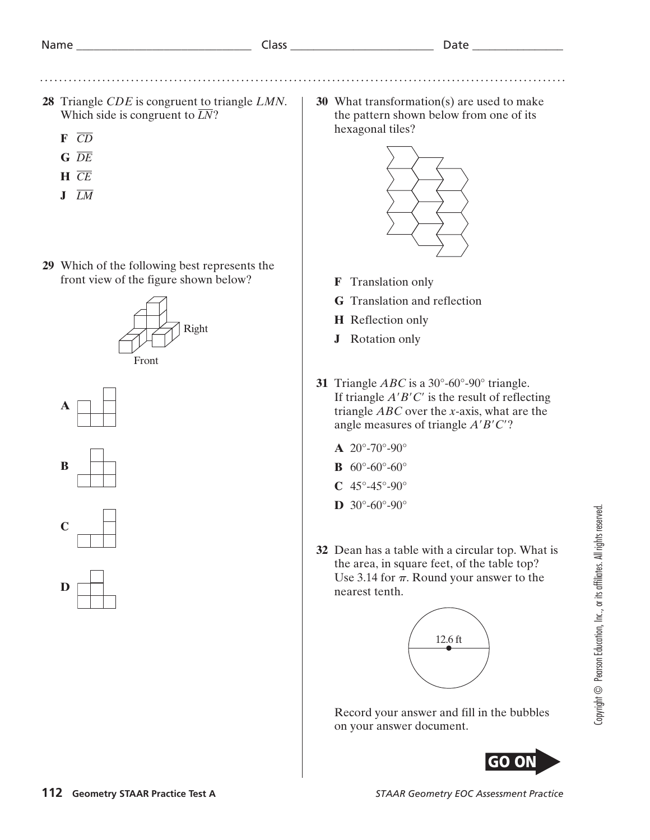. . . . . . . . . . . .

- **28** Triangle *CDE* is congruent to triangle *LMN*. Which side is congruent to  $\overline{LN}$ ?
	- **F** *CD*
	- **G** *DE*
	- **H** *CE*
	- **J** *LM*
- **29** Which of the following best represents the front view of the figure shown below?











**30** What transformation(s) are used to make the pattern shown below from one of its hexagonal tiles?



- **F** Translation only
- **G** Translation and reflection
- **H** Reflection only
- **J** Rotation only
- **31** Triangle *ABC* is a 30°-60°-90° triangle. If triangle  $A'B'C'$  is the result of reflecting triangle *ABC* over the *x*-axis, what are the angle measures of triangle  $A'B'C'$ ?
	- $A$  20<sup>°</sup>-70<sup>°</sup>-90<sup>°</sup>
	- **B** 60°-60°-60°
	- $C$  45°-45°-90°
	- **D**  $30^{\circ} 60^{\circ} 90^{\circ}$
- **32** Dean has a table with a circular top. What is the area, in square feet, of the table top? Use 3.14 for  $\pi$ . Round your answer to the nearest tenth.



 Record your answer and fill in the bubbles on your answer document.

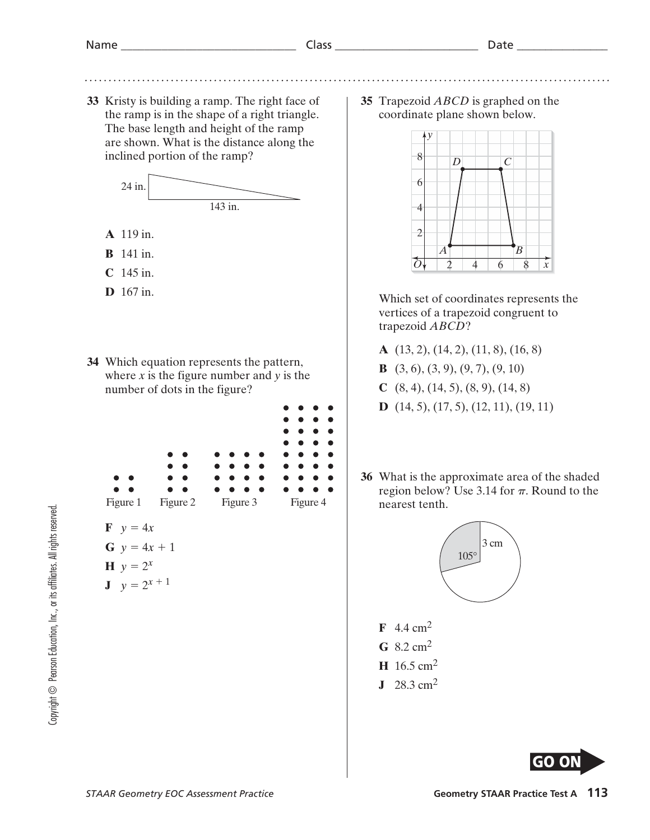**33** Kristy is building a ramp. The right face of the ramp is in the shape of a right triangle. The base length and height of the ramp are shown. What is the distance along the inclined portion of the ramp?



- **A** 119 in.
- **B** 141 in.
- **C** 145 in.
- **D** 167 in.
- **34** Which equation represents the pattern, where  $x$  is the figure number and  $y$  is the number of dots in the figure?
	- ò Ċ Figure 1 Figure 2 Figure 3 Figure 4  $\mathbf{F} \quad y = 4x$ **G**  $y = 4x + 1$ **H**  $y = 2^x$ **J**  $y = 2^{x+1}$

**35** Trapezoid *ABCD* is graphed on the coordinate plane shown below.



Which set of coordinates represents the vertices of a trapezoid congruent to trapezoid *ABCD*?

- **A** (13, 2), (14, 2), (11, 8), (16, 8)
- **B** (3, 6), (3, 9), (9, 7), (9, 10)
- **C** (8, 4), (14, 5), (8, 9), (14, 8)
- **D** (14, 5), (17, 5), (12, 11), (19, 11)
- **36** What is the approximate area of the shaded region below? Use  $3.14$  for  $\pi$ . Round to the nearest tenth.



- **G** 8.2 cm2
- **H** 16.5 cm2
- **J** 28.3 cm2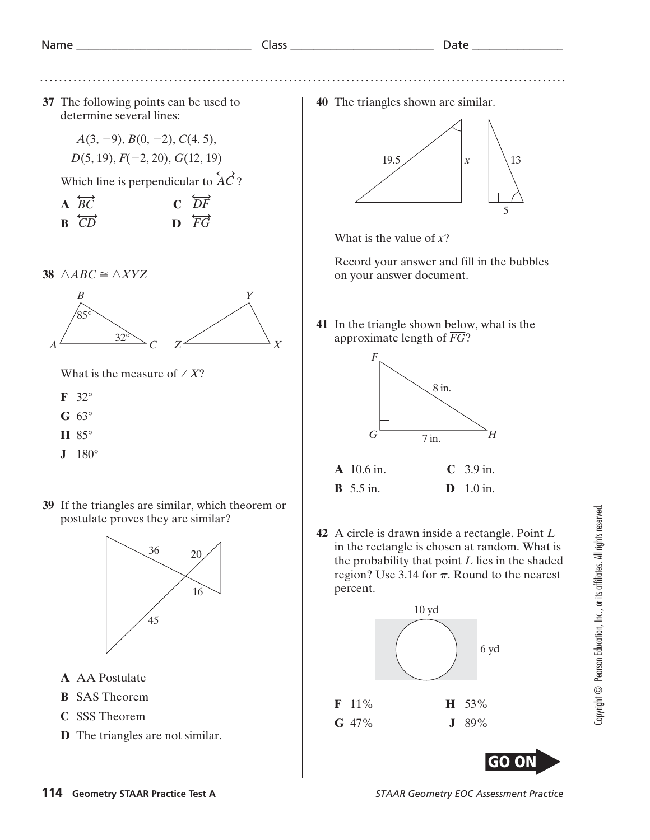Name \_\_\_\_\_\_\_\_\_\_\_\_\_\_\_\_\_\_\_\_\_\_\_\_\_\_\_\_\_\_ Class \_\_\_\_\_\_\_\_\_\_\_\_\_\_\_\_\_\_\_\_\_\_\_\_\_ Date \_\_\_\_\_\_\_\_\_\_\_\_\_\_\_\_

**37** The following points can be used to determine several lines:

> $A(3, -9), B(0, -2), C(4, 5),$ *D*(5, 19), *F*( $-2$ , 20), *G*(12, 19)

Which line is perpendicular to  $\overleftrightarrow{AC}$ ?<br> **A**  $\overleftrightarrow{BC}$  **C**  $\overleftrightarrow{DF}$ 

| $\triangle$ BC        | $\overrightarrow{CF}$                  |
|-----------------------|----------------------------------------|
| $\overrightarrow{BD}$ | $\mathbf{D} \quad \overrightarrow{FG}$ |

**38**  $\triangle ABC \cong \triangle XYZ$ 



What is the measure of  $\angle X$ ?

- **F** 32°
- **G** 63°
- **H** 85°
- **J** 180°
- **39** If the triangles are similar, which theorem or postulate proves they are similar?



- **A** AA Postulate
- **B** SAS Theorem
- **C** SSS Theorem
- **D** The triangles are not similar.

**40** The triangles shown are similar.

![](_page_7_Figure_21.jpeg)

What is the value of *x*?

Record your answer and fill in the bubbles on your answer document.

**41** In the triangle shown below, what is the approximate length of *FG*?

![](_page_7_Figure_25.jpeg)

**42** A circle is drawn inside a rectangle. Point *L* in the rectangle is chosen at random. What is the probability that point *L* lies in the shaded region? Use  $3.14$  for  $\pi$ . Round to the nearest percent.

![](_page_7_Figure_27.jpeg)

![](_page_7_Picture_28.jpeg)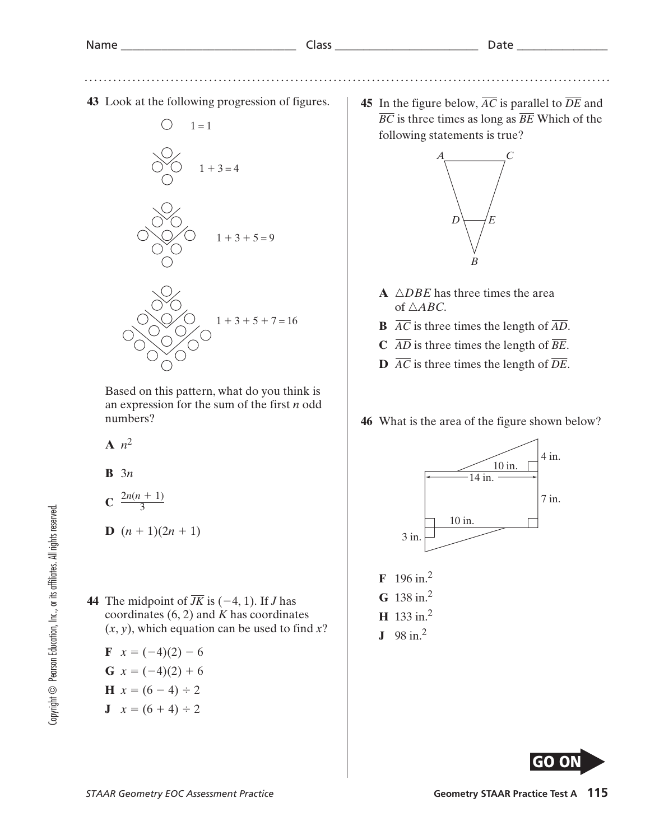. . . . . . . . . .

**43** Look at the following progression of figures.

![](_page_8_Figure_4.jpeg)

Based on this pattern, what do you think is an expression for the sum of the first *n* odd numbers?

- $A$   $n^2$
- **B** 3*n*

$$
C \frac{2n(n+1)}{3}
$$

$$
D (n + 1)(2n + 1)
$$

**44** The midpoint of  $\overline{JK}$  is (-4, 1). If *J* has coordinates (6, 2) and *K* has coordinates (*x*, *y*), which equation can be used to find *x*?

$$
\mathbf{F} \quad x = (-4)(2) - 6
$$

**G** 
$$
x = (-4)(2) + 6
$$

$$
H x = (6-4) \div 2
$$

**J**  $x = (6 + 4) \div 2$ 

**45** In the figure below,  $\overline{AC}$  is parallel to  $\overline{DE}$  and *BC* is three times as long as *BE* Which of the following statements is true?

![](_page_8_Figure_16.jpeg)

- **A**  $\triangle DBE$  has three times the area of  $\triangle ABC$ .
- **B**  $\overline{AC}$  is three times the length of  $\overline{AD}$ .
- **C**  $\overline{AD}$  is three times the length of  $\overline{BE}$ .
- **D**  $\overline{AC}$  is three times the length of  $\overline{DE}$ .

## **46** What is the area of the figure shown below?

![](_page_8_Figure_22.jpeg)

![](_page_8_Picture_23.jpeg)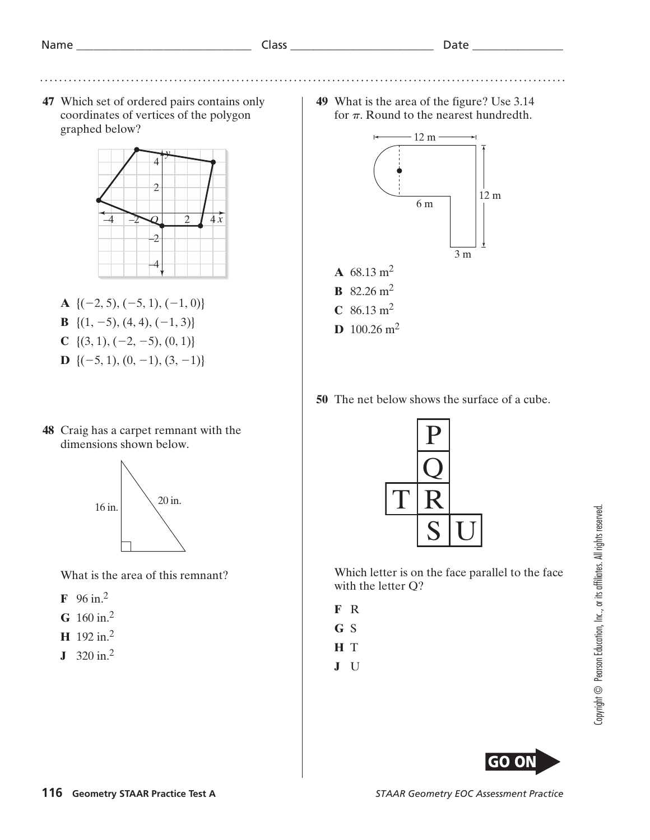. . . . . . . . . . .

**47** Which set of ordered pairs contains only coordinates of vertices of the polygon graphed below?

![](_page_9_Figure_4.jpeg)

- **A** { $(-2, 5)$ ,  $(-5, 1)$ ,  $(-1, 0)$ }
- **B** { $(1, -5)$ ,  $(4, 4)$ ,  $(-1, 3)$ }
- **C** { $(3, 1), (-2, -5), (0, 1)$ }
- **D** { $(-5, 1), (0, -1), (3, -1)$ }
- **48** Craig has a carpet remnant with the dimensions shown below.

![](_page_9_Figure_10.jpeg)

What is the area of this remnant?

- **F** 96 in.2
- **G** 160 in.2
- **H** 192 in.2
- **J** 320 in.2

**49** What is the area of the figure? Use 3.14 for  $\pi$ . Round to the nearest hundredth.

![](_page_9_Figure_17.jpeg)

**50** The net below shows the surface of a cube.

![](_page_9_Picture_19.jpeg)

Which letter is on the face parallel to the face with the letter Q?

- **F** R
- **G** S
- **H** T
- **J** U

![](_page_9_Picture_26.jpeg)